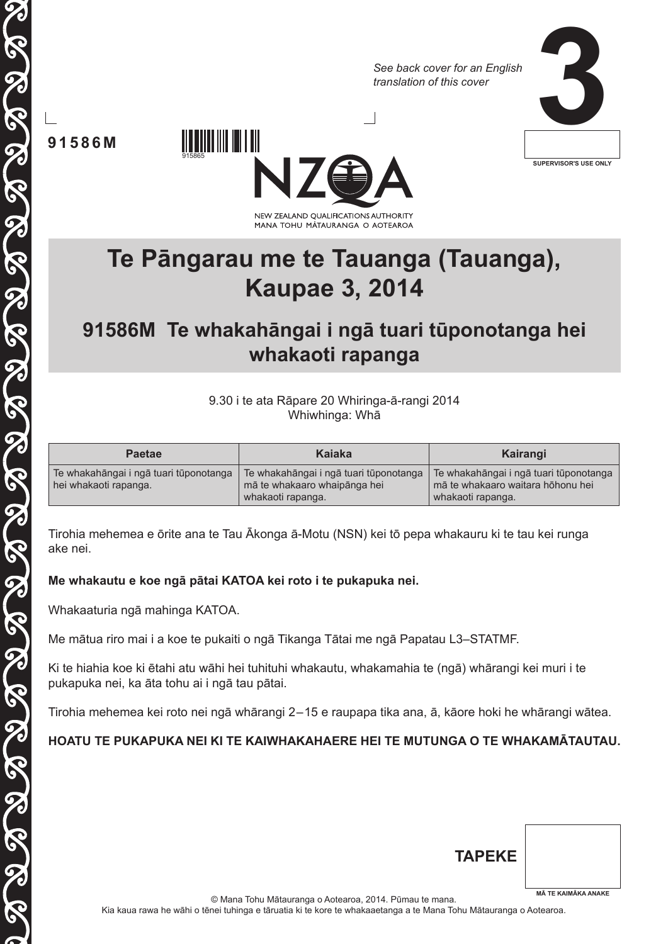*See back cover for an English translation of this cover*



**91586M**



**Te Pāngarau me te Tauanga (Tauanga), Kaupae 3, 2014**

# **91586M Te whakahāngai i ngā tuari tūponotanga hei whakaoti rapanga**

9.30 i te ata Rāpare 20 Whiringa-ā-rangi 2014 Whiwhinga: Whā

| <b>Paetae</b>                                                   | Kaiaka                                                                                      | Kairangi                                                                                         |
|-----------------------------------------------------------------|---------------------------------------------------------------------------------------------|--------------------------------------------------------------------------------------------------|
| Te whakahāngai i ngā tuari tūponotanga<br>hei whakaoti rapanga. | Te whakahāngai i ngā tuari tūponotanga<br>mā te whakaaro whaipānga hei<br>whakaoti rapanga. | Te whakahāngai i ngā tuari tūponotanga<br>mā te whakaaro waitara hōhonu hei<br>whakaoti rapanga. |

Tirohia mehemea e ōrite ana te Tau Ākonga ā-Motu (nsn) kei tō pepa whakauru ki te tau kei runga ake nei.

## **Me whakautu e koe ngā pātai katoa kei roto i te pukapuka nei.**

Whakaaturia ngā mahinga KATOA.

Me mātua riro mai i a koe te pukaiti o ngā Tikanga Tātai me ngā Papatau L3–STATMF.

Ki te hiahia koe ki ētahi atu wāhi hei tuhituhi whakautu, whakamahia te (ngā) whārangi kei muri i te pukapuka nei, ka āta tohu ai i ngā tau pātai.

Tirohia mehemea kei roto nei ngā whārangi 2 – 15 e raupapa tika ana, ā, kāore hoki he whārangi wātea.

# **Hoatu te pukapuka nei ki te kaiwhakahaere hei te mutunga o te whakamātautau.**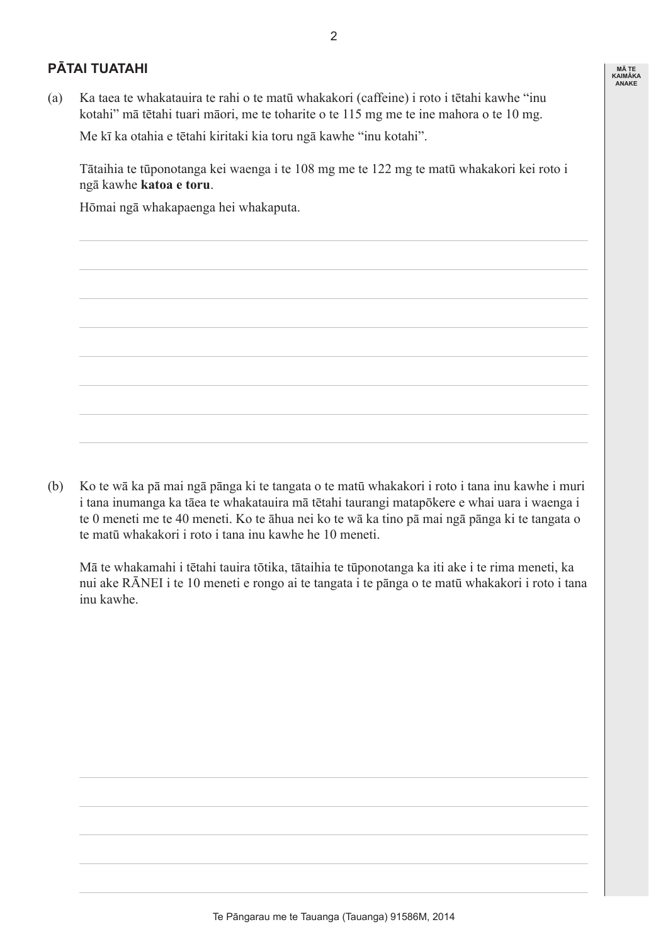## **Pātai Tuatahi**

(a) Ka taea te whakatauira te rahi o te matū whakakori (caffeine) i roto i tētahi kawhe "inu kotahi" mā tētahi tuari māori, me te toharite o te 115 mg me te ine mahora o te 10 mg.

 Me kī ka otahia e tētahi kiritaki kia toru ngā kawhe "inu kotahi".

 Tātaihia te tūponotanga kei waenga i te 108 mg me te 122 mg te matū whakakori kei roto i ngā kawhe **katoa e toru**.

 Hōmai ngā whakapaenga hei whakaputa.

(b) Ko te wā ka pā mai ngā pānga ki te tangata o te matū whakakori i roto i tana inu kawhe i muri i tana inumanga ka tāea te whakatauira mā tētahi taurangi matapōkere e whai uara i waenga i te 0 meneti me te 40 meneti. Ko te āhua nei ko te wā ka tino pā mai ngā pānga ki te tangata o te matū whakakori i roto i tana inu kawhe he 10 meneti.

 Mā te whakamahi i tētahi tauira tōtika, tātaihia te tūponotanga ka iti ake i te rima meneti, ka nui ake RĀNEI i te 10 meneti e rongo ai te tangata i te pānga o te matū whakakori i roto i tana inu kawhe.

**Mā te Kaimāka anake**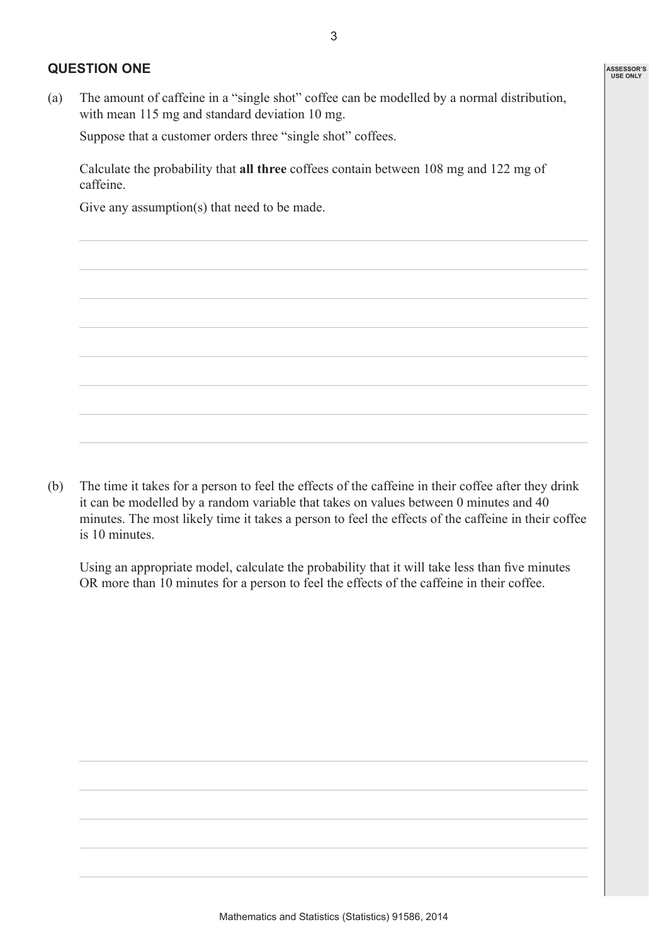#### **Question One**

(a) The amount of caffeine in a "single shot" coffee can be modelled by a normal distribution, with mean 115 mg and standard deviation 10 mg.

 Suppose that a customer orders three "single shot" coffees.

 Calculate the probability that **all three** coffees contain between 108 mg and 122 mg of caffeine.

Give any assumption(s) that need to be made.

(b) The time it takes for a person to feel the effects of the caffeine in their coffee after they drink it can be modelled by a random variable that takes on values between 0 minutes and 40 minutes. The most likely time it takes a person to feel the effects of the caffeine in their coffee is 10 minutes.

 Using an appropriate model, calculate the probability that it will take less than five minutes OR more than 10 minutes for a person to feel the effects of the caffeine in their coffee.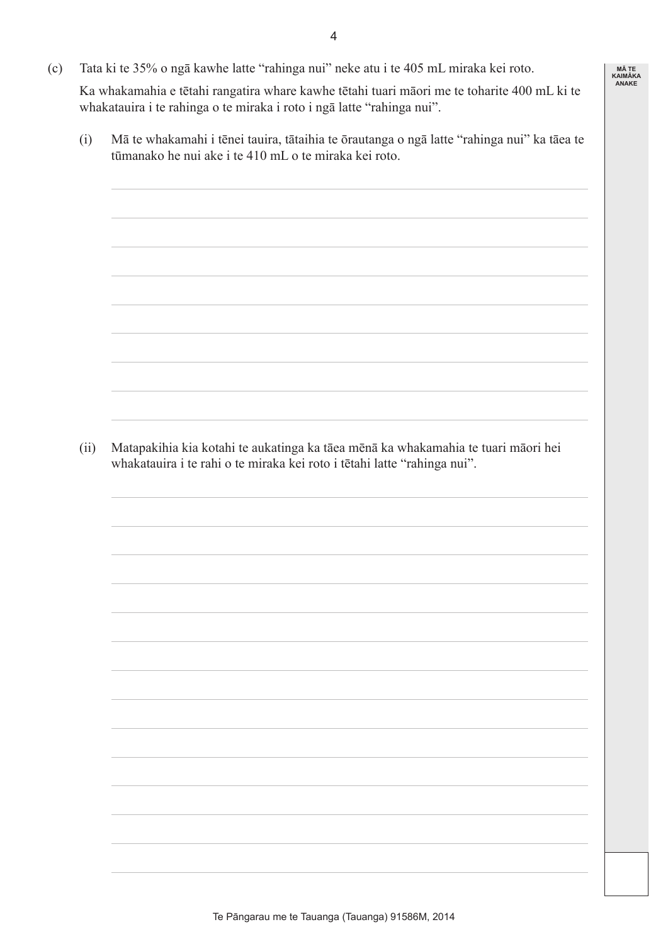- $\overline{\mathbf{A}}$
- (c) Tata ki te 35% o ngā kawhe latte "rahinga nui" neke atu i te 405 mL miraka kei roto.

 Ka whakamahia e tētahi rangatira whare kawhe tētahi tuari māori me te toharite 400 mL ki te whakatauira i te rahinga o te miraka i roto i ngā latte "rahinga nui".

**Mā te Kaimāka anake**

 (i) Mā te whakamahi i tēnei tauira, tātaihia te ōrautanga o ngā latte "rahinga nui" ka tāea te tūmanako he nui ake i te 410 mL o te miraka kei roto.

 (ii) Matapakihia kia kotahi te aukatinga ka tāea mēnā ka whakamahia te tuari māori hei whakatauira i te rahi o te miraka kei roto i tētahi latte "rahinga nui".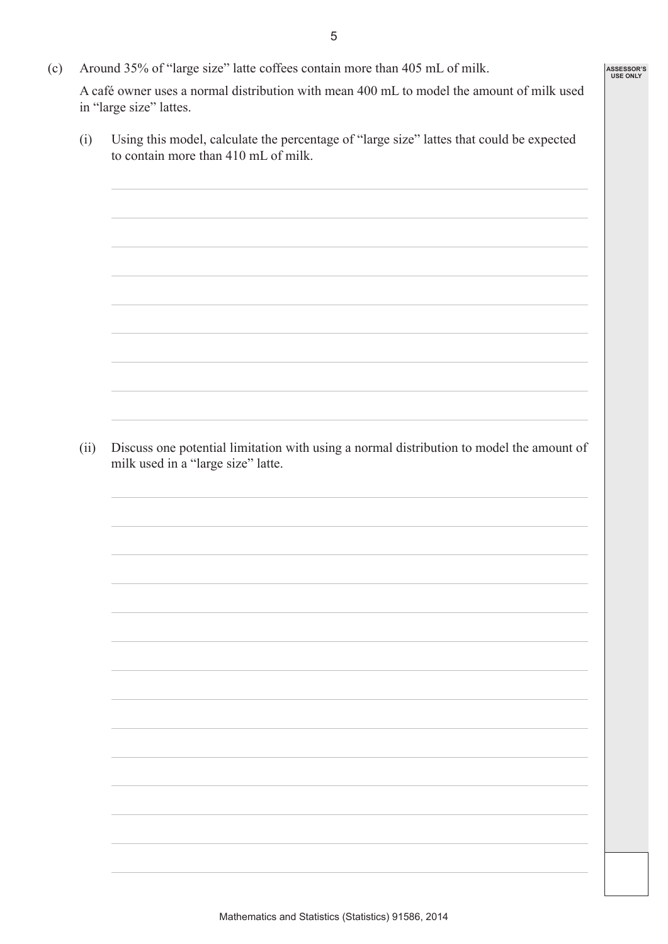(c) Around 35% of "large size" latte coffees contain more than 405 mL of milk.

 A café owner uses a normal distribution with mean 400 mL to model the amount of milk used in "large size" lattes.

 (i) Using this model, calculate the percentage of "large size" lattes that could be expected to contain more than 410 mL of milk.

 (ii) Discuss one potential limitation with using a normal distribution to model the amount of milk used in a "large size" latte.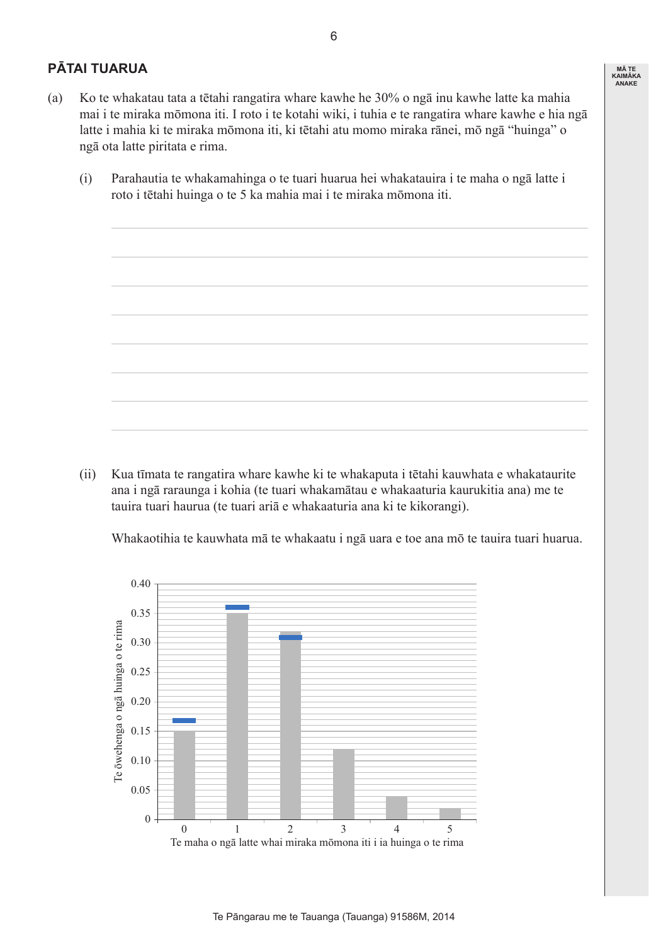## **Pātai Tuarua**

- (a) Ko te whakatau tata a tētahi rangatira whare kawhe he 30% o ngā inu kawhe latte ka mahia mai i te miraka mōmona iti. I roto i te kotahi wiki, i tuhia e te rangatira whare kawhe e hia ngā latte i mahia ki te miraka mōmona iti, ki tētahi atu momo miraka rānei, mō ngā "huinga" o ngā ota latte piritata e rima.
	- (i) Parahautia te whakamahinga o te tuari huarua hei whakatauira i te maha o ngā latte i roto i tētahi huinga o te 5 ka mahia mai i te miraka mōmona iti.



 Whakaotihia te kauwhata mā te whakaatu i ngā uara e toe ana mō te tauira tuari huarua.



**Mā te Kaimāka anake**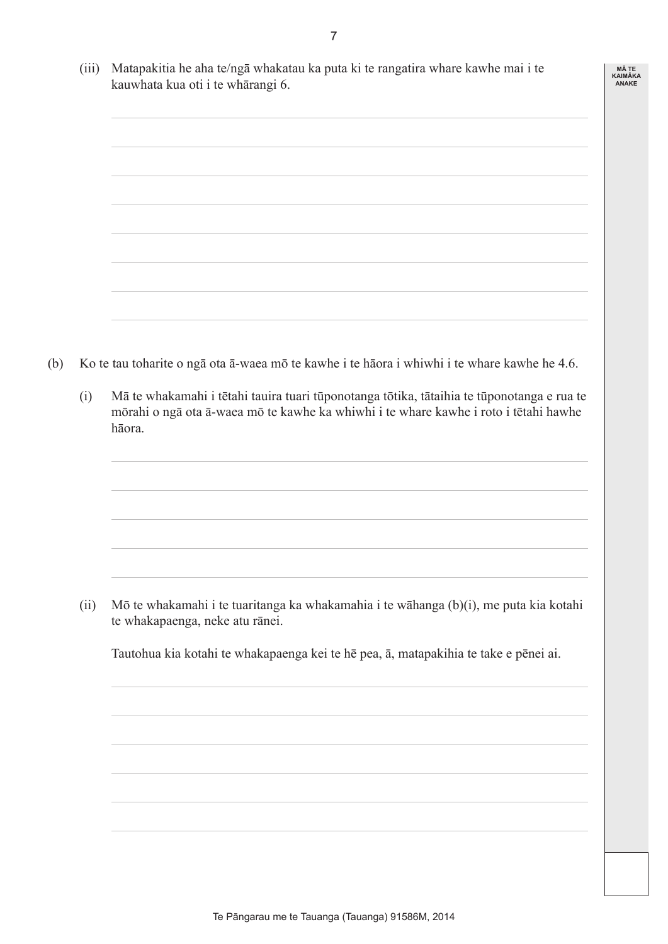| (iii) Matapakitia he aha te/ngā whakatau ka puta ki te rangatira whare kawhe mai i te |
|---------------------------------------------------------------------------------------|
| kauwhata kua oti i te whārangi 6.                                                     |



- (b) Ko te tau toharite o ngā ota ā-waea mō te kawhe i te hāora i whiwhi i te whare kawhe he 4.6.
	- (i) Mā te whakamahi i tētahi tauira tuari tūponotanga tōtika, tātaihia te tūponotanga e rua te mōrahi o ngā ota ā-waea mō te kawhe ka whiwhi i te whare kawhe i roto i tētahi hawhe hāora.

 (ii) Mō te whakamahi i te tuaritanga ka whakamahia i te wāhanga (b)(i), me puta kia kotahi te whakapaenga, neke atu rānei.

 Tautohua kia kotahi te whakapaenga kei te hē pea, ā, matapakihia te take e pēnei ai.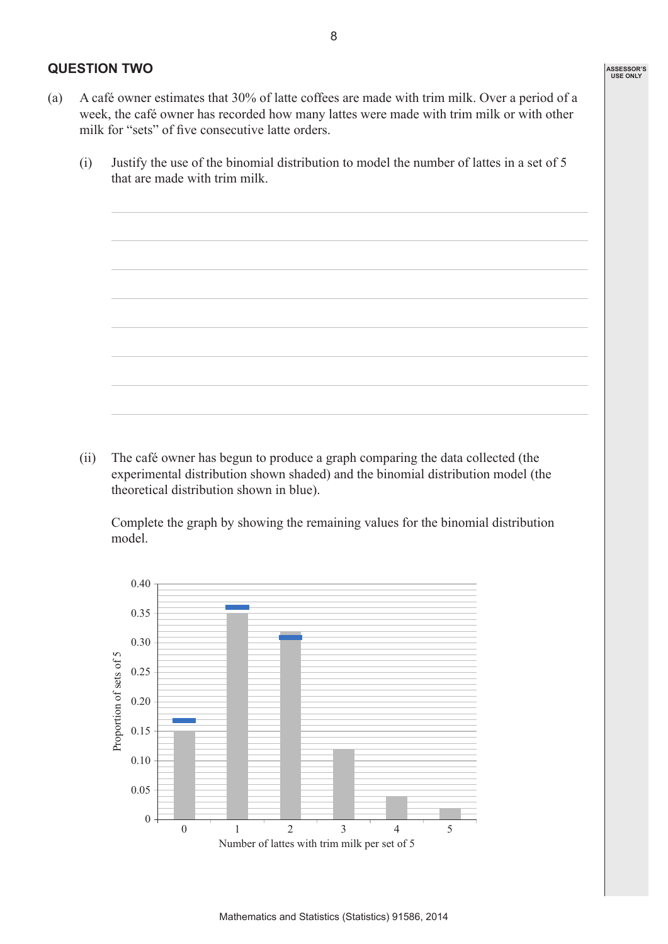#### **Question Two**

- (a) A café owner estimates that 30% of latte coffees are made with trim milk. Over a period of a week, the café owner has recorded how many lattes were made with trim milk or with other milk for "sets" of five consecutive latte orders.
	- (i) Justify the use of the binomial distribution to model the number of lattes in a set of  $5$ that are made with trim milk.

 (ii) The café owner has begun to produce a graph comparing the data collected (the experimental distribution shown shaded) and the binomial distribution model (the theoretical distribution shown in blue).

 Complete the graph by showing the remaining values for the binomial distribution model.

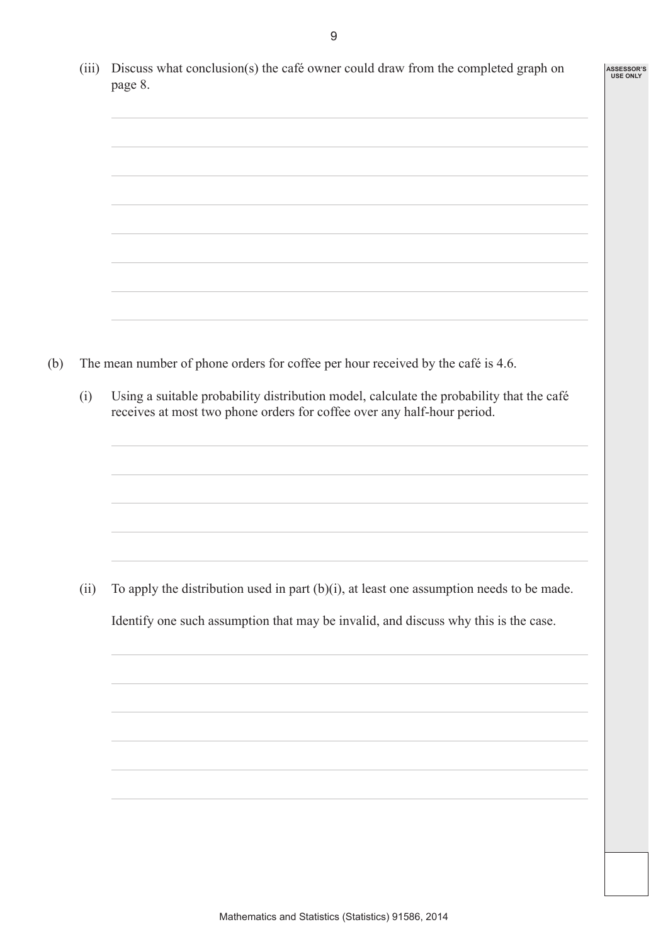| (iii) | Discuss what conclusion(s) the café owner could draw from the completed graph on<br>page 8.                                                                         |
|-------|---------------------------------------------------------------------------------------------------------------------------------------------------------------------|
|       |                                                                                                                                                                     |
|       |                                                                                                                                                                     |
|       |                                                                                                                                                                     |
|       |                                                                                                                                                                     |
|       | The mean number of phone orders for coffee per hour received by the café is 4.6.                                                                                    |
| (i)   | Using a suitable probability distribution model, calculate the probability that the café<br>receives at most two phone orders for coffee over any half-hour period. |
|       |                                                                                                                                                                     |
|       |                                                                                                                                                                     |
| (ii)  | To apply the distribution used in part $(b)(i)$ , at least one assumption needs to be made.                                                                         |
|       | Identify one such assumption that may be invalid, and discuss why this is the case.                                                                                 |
|       |                                                                                                                                                                     |
|       |                                                                                                                                                                     |
|       |                                                                                                                                                                     |
|       |                                                                                                                                                                     |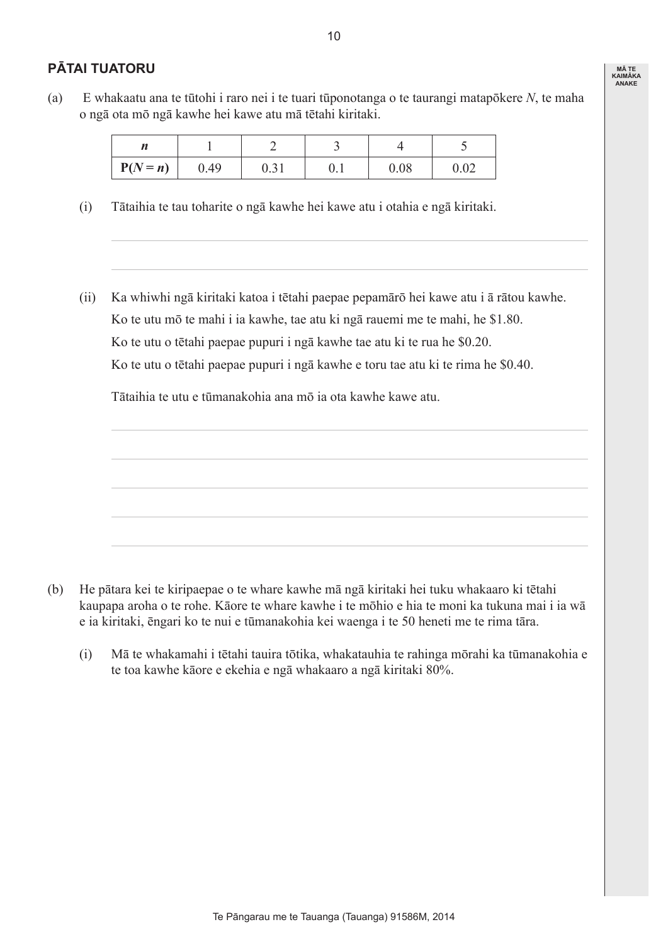## **Pātai Tuatoru**

(a) E whakaatu ana te tūtohi i raro nei i te tuari tūponotanga o te taurangi matapōkere *N*, te maha o ngā ota mō ngā kawhe hei kawe atu mā tētahi kiritaki.

| $P(N = n)$ | 0.49 | 0.31 | v. 1 | 0.08 | ∩ ∩า<br>∪.∪∠ |
|------------|------|------|------|------|--------------|

- (i) Tātaihia te tau toharite o ngā kawhe hei kawe atu i otahia e ngā kiritaki.
- (ii) Ka whiwhi ngā kiritaki katoa i tētahi paepae pepamārō hei kawe atu i ā rātou kawhe. Ko te utu mō te mahi i ia kawhe, tae atu ki ngā rauemi me te mahi, he \$1.80. Ko te utu o tētahi paepae pupuri i ngā kawhe tae atu ki te rua he \$0.20. Ko te utu o tētahi paepae pupuri i ngā kawhe e toru tae atu ki te rima he \$0.40.

 Tātaihia te utu e tūmanakohia ana mō ia ota kawhe kawe atu.



 (i) Mā te whakamahi i tētahi tauira tōtika, whakatauhia te rahinga mōrahi ka tūmanakohia e te toa kawhe kāore e ekehia e ngā whakaaro a ngā kiritaki 80%.

**Mā te Kaimāka anake**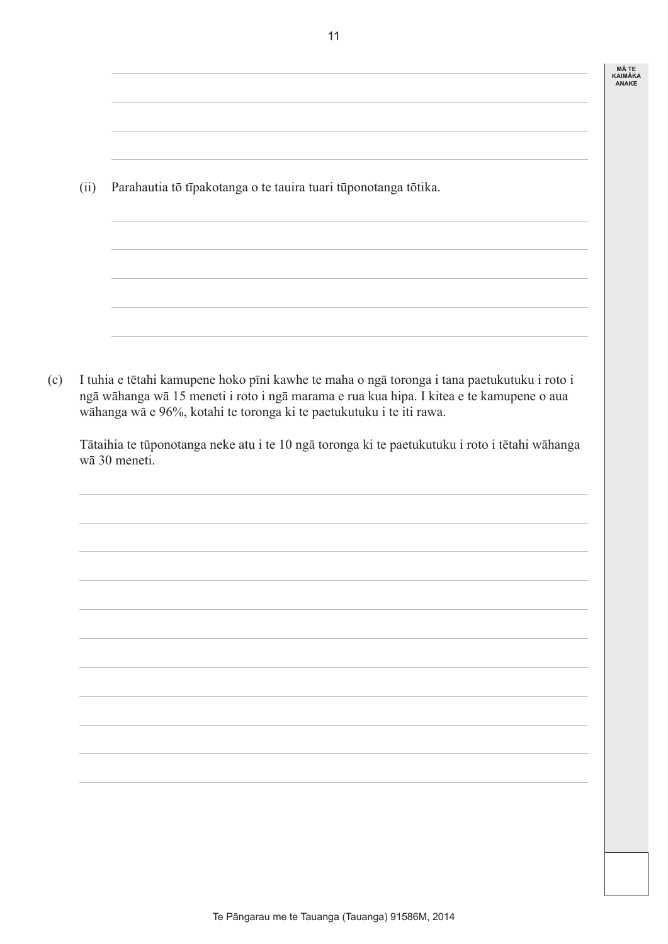| <b>MATE</b>    |
|----------------|
| <b>KAIMÄKA</b> |
| <b>ANAKE</b>   |

 (ii) Parahautia tō tīpakotanga o te tauira tuari tūponotanga tōtika.

(c) I tuhia e tētahi kamupene hoko pīni kawhe te maha o ngā toronga i tana paetukutuku i roto i ngā wāhanga wā 15 meneti i roto i ngā marama e rua kua hipa. I kitea e te kamupene o aua wāhanga wā e 96%, kotahi te toronga ki te paetukutuku i te iti rawa.

 Tātaihia te tūponotanga neke atu i te 10 ngā toronga ki te paetukutuku i roto i tētahi wāhanga wā 30 meneti.

11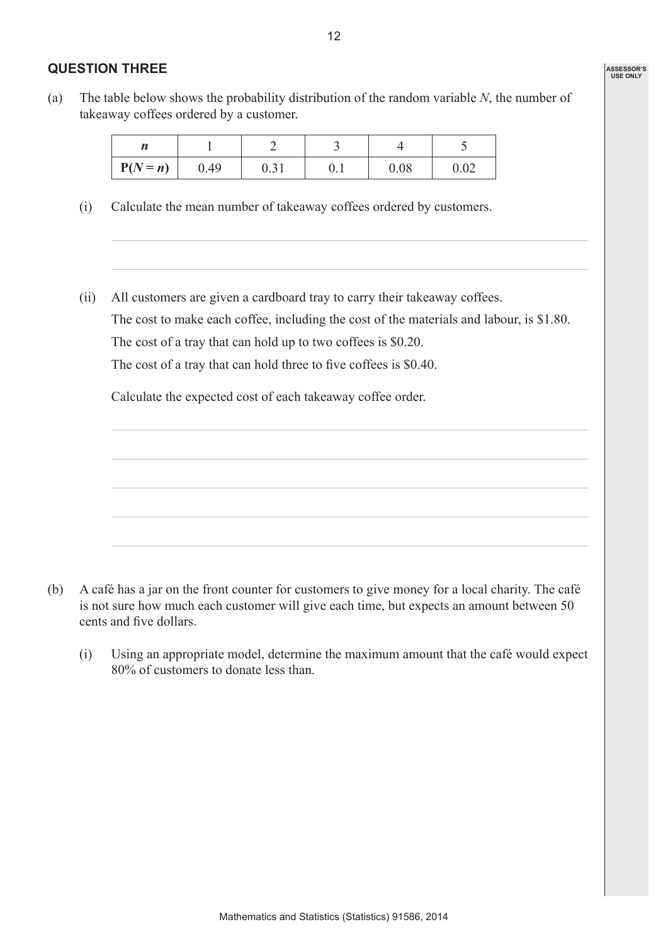#### **Question Three**

(a) The table below shows the probability distribution of the random variable  $N$ , the number of takeaway coffees ordered by a customer.

| $P(N = n)$ | 0.49 | 0.01 | v. 1 | 0.08 | ስ ስኅ<br>∪.∪∠ |
|------------|------|------|------|------|--------------|

- (i) Calculate the mean number of takeaway coffees ordered by customers.
- (ii) All customers are given a cardboard tray to carry their takeaway coffees. The cost to make each coffee, including the cost of the materials and labour, is \$1.80. The cost of a tray that can hold up to two coffees is \$0.20. The cost of a tray that can hold three to five coffees is \$0.40.

 Calculate the expected cost of each takeaway coffee order.



- (b) A café has a jar on the front counter for customers to give money for a local charity. The café is not sure how much each customer will give each time, but expects an amount between 50 cents and five dollars.
	- (i) Using an appropriate model, determine the maximum amount that the café would expect 80% of customers to donate less than.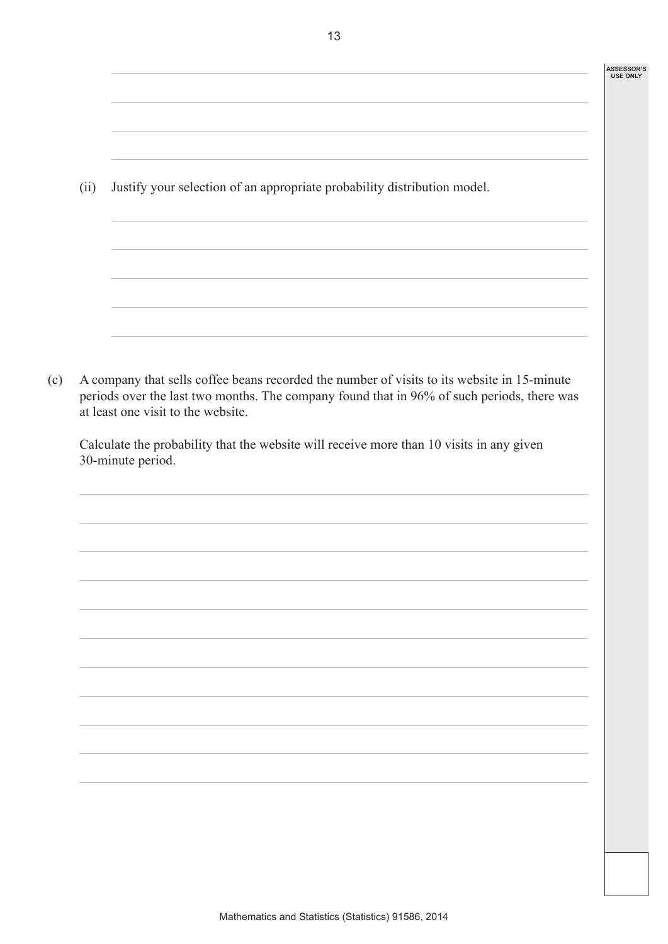| <b>ASSESSOR'S</b> |
|-------------------|
| <b>USE ONLY</b>   |

 (ii) Justify your selection of an appropriate probability distribution model.

(c) A company that sells coffee beans recorded the number of visits to its website in 15-minute periods over the last two months. The company found that in 96% of such periods, there was at least one visit to the website.

 Calculate the probability that the website will receive more than 10 visits in any given 30-minute period.

13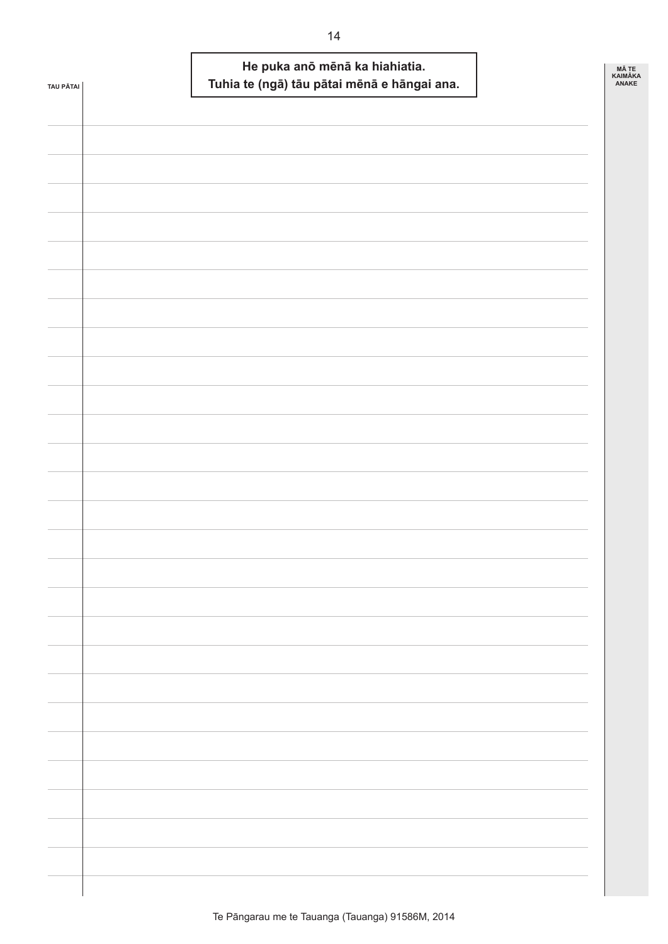| <b>TAU PÄTAI</b> |  | He puka anō mēnā ka hiahiatia.<br>Tuhia te (ngā) tāu pātai mēnā e hāngai ana. |  | MÃ TE<br>KAIMÃKA<br>ANAKE |
|------------------|--|-------------------------------------------------------------------------------|--|---------------------------|
|                  |  |                                                                               |  |                           |
|                  |  |                                                                               |  |                           |
|                  |  |                                                                               |  |                           |
|                  |  |                                                                               |  |                           |
|                  |  |                                                                               |  |                           |
|                  |  |                                                                               |  |                           |
|                  |  |                                                                               |  |                           |
|                  |  |                                                                               |  |                           |
|                  |  |                                                                               |  |                           |
|                  |  |                                                                               |  |                           |
|                  |  |                                                                               |  |                           |
|                  |  |                                                                               |  |                           |
|                  |  |                                                                               |  |                           |
|                  |  |                                                                               |  |                           |
|                  |  |                                                                               |  |                           |
|                  |  |                                                                               |  |                           |
|                  |  |                                                                               |  |                           |
|                  |  |                                                                               |  |                           |
|                  |  |                                                                               |  |                           |
|                  |  |                                                                               |  |                           |
|                  |  |                                                                               |  |                           |
|                  |  |                                                                               |  |                           |
|                  |  |                                                                               |  |                           |
|                  |  |                                                                               |  |                           |
|                  |  |                                                                               |  |                           |
|                  |  |                                                                               |  |                           |
|                  |  |                                                                               |  |                           |
|                  |  |                                                                               |  |                           |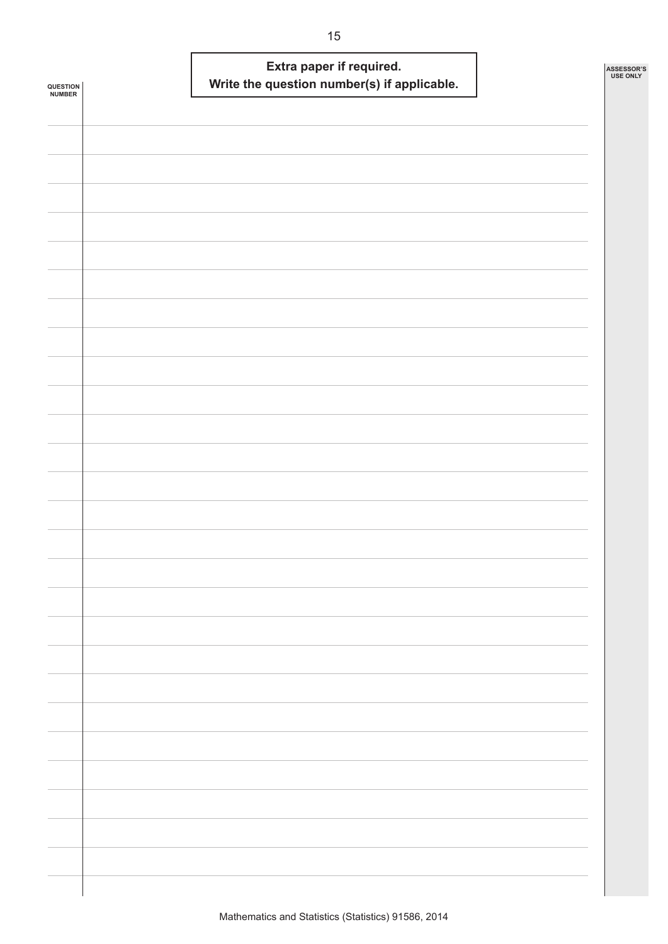|                            | Extra paper if required.                    | ASSESSOR'S<br>USE ONLY |
|----------------------------|---------------------------------------------|------------------------|
| <b>QUESTION<br/>NUMBER</b> | Write the question number(s) if applicable. |                        |
|                            |                                             |                        |
|                            |                                             |                        |
|                            |                                             |                        |
|                            |                                             |                        |
|                            |                                             |                        |
|                            |                                             |                        |
|                            |                                             |                        |
|                            |                                             |                        |
|                            |                                             |                        |
|                            |                                             |                        |
|                            |                                             |                        |
|                            |                                             |                        |
|                            |                                             |                        |
|                            |                                             |                        |
|                            |                                             |                        |
|                            |                                             |                        |
|                            |                                             |                        |
|                            |                                             |                        |
|                            |                                             |                        |
|                            |                                             |                        |
|                            |                                             |                        |
|                            |                                             |                        |
|                            |                                             |                        |
|                            |                                             |                        |
|                            |                                             |                        |
|                            |                                             |                        |